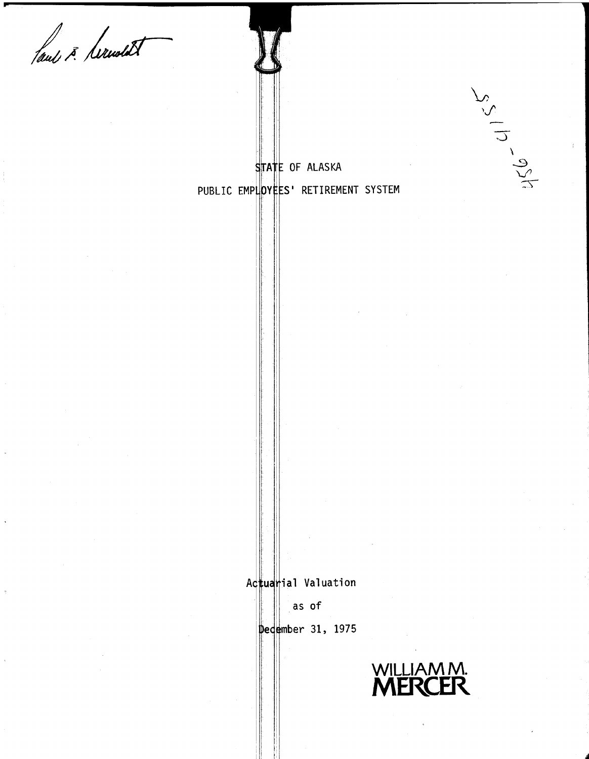laul 3. Serwedt

STATE OF ALASKA

PUBLIC EMPLOYEES' RETIREMENT SYSTEM

Actuarial Valuation

as of

December 31, 1975



 $2^{5}$  112-921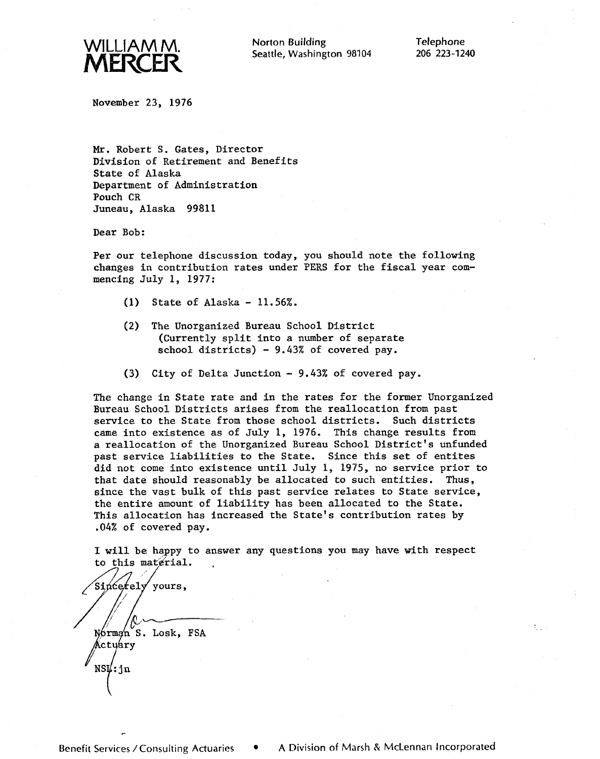

Norton Building Telephone Seattle, Washington 98104

November 23, 1976

Mr. Robert S. Gates, Director Division of Retirement and Benefits State of Alaska Department of Administration Pouch CR Juneau, Alaska 99811

Dear Bob:

Per our telephone discussion today, you should note the following changes in contribution rates under PERS for the fiscal year commencing July 1, 1977:

- (1) State of Alaska 11.56%.
- **(2)** The Unorganized Bureau School District (Currently split into a number of separate school districts) - 9.43% of covered pay.
- **(3)** Cfty of Delta Junction 9.43% of covered pay.

The change in State rate and in the rates for the former Unorganized Bureau School Districts arises from the reallocation from past service to the State from those school districts. Such districts came into existence as of July 1, 1976. This change results from a reallocation of the Unorganized Bureau School District's unfunded past service liabilities to the State. Since this set of entites did not come into existence until July 1, 1975, no service prior to that date should reasonably be allocated to such entities. Thus, since the vast bulk of this past service relates to State service, the entire amount of liability has been allocated to the State. This allocation has increased the State's contribution rates by .04% of covered pay.

**1** will be happy to answer any questions you may have with respect to this material.

Sincerely yours, /-- Norman S. Losk, FSA Actuary  $NS\sharp$ : jn

-

A.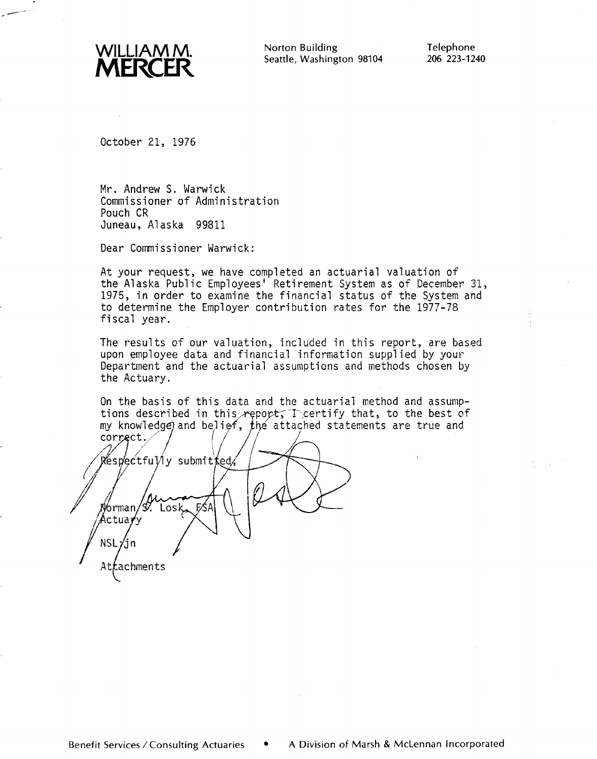

Norton Building Telephone Seattle, Washington 98104 206 223-1240

October 21, 1976

Mr. Andrew S. Warwick Commissioner of Administration Pouch CR Juneau, Alaska 99811

Dear Commissioner Warwick:

At your request, we have completed an actuarial valuation of the Alaska Public Employees' Retirement System as of December 31, 1975, in order to examine the financial status of the System and to determine the Employer contribution rates for the 1977-78 fiscal year.

The results of our valuation, included in this report, are based upon employee data and financial information supplied by your Department and the actuarial assumptions and methods chosen by the Actuary.

On the basis of this data and the actuarial method and assumptions described in this report,  $\Gamma$  certify that, to the best of my knowledge) and belief, the attached statements are true and

correct. Respectfully submitted, Norman/S. Losk, FŚA Actuayy  $NSL/jn$ Attachments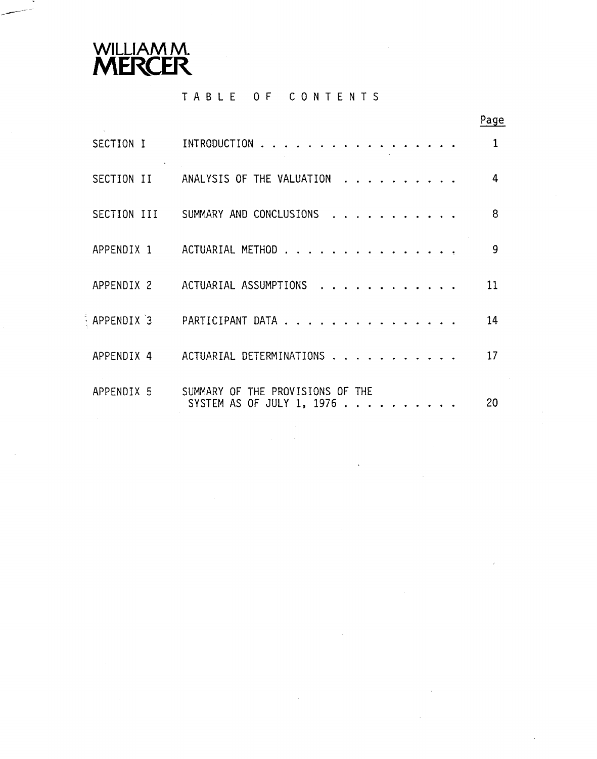

# **TABLE OF CONTENTS**

|             |                                                                | Page         |
|-------------|----------------------------------------------------------------|--------------|
| SECTION I   | INTRODUCTION                                                   | $\mathbf{1}$ |
| SECTION II  | ANALYSIS OF THE VALUATION                                      | 4            |
| SECTION III | SUMMARY AND CONCLUSIONS                                        | 8            |
| APPENDIX 1  | ACTUARIAL METHOD                                               | 9            |
| APPENDIX 2  | ACTUARIAL ASSUMPTIONS                                          | 11           |
| APPENDIX 3  | PARTICIPANT DATA                                               | 14           |
| APPENDIX 4  | ACTUARIAL DETERMINATIONS                                       | 17           |
| APPENDIX 5  | SUMMARY OF THE PROVISIONS OF THE<br>SYSTEM AS OF JULY 1, 1976. | 20           |

 $\ddot{\phantom{a}}$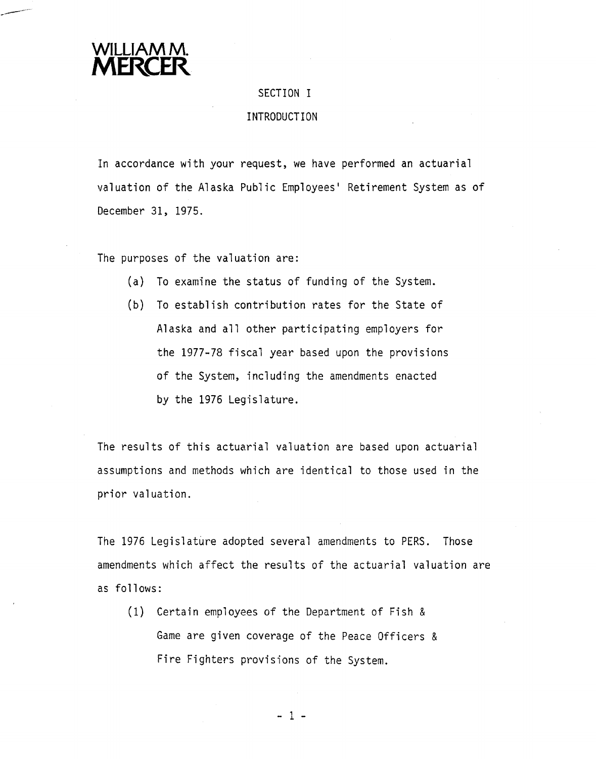

#### SECTION I

#### INTRODUCTION

In accordance with your request, we have performed an actuarial valuation of the Alaska Public Employees' Retirement System as of December 31, 1975.

The purposes of the valuation are:

- (a) To examine the status of funding of the System.
- **(b)** To establish contribution rates for the State of Alaska and all other participating employers for the 1977-78 fiscal year based upon the provisions of the System, including the amendments enacted by the 1976 Legislature.

The results of this actuarial valuation are based upon actuarial assumptions and methods which are identical to those used in the prior valuation.

The 1976 Legislature adopted several amendments to PERS. Those amendments which affect the results of the actuarial valuation are as follows:

(1) Certain employees of the Department of Fish & Game are given coverage of the Peace Officers & Fire Fighters provisions of the System.

 $-1 -$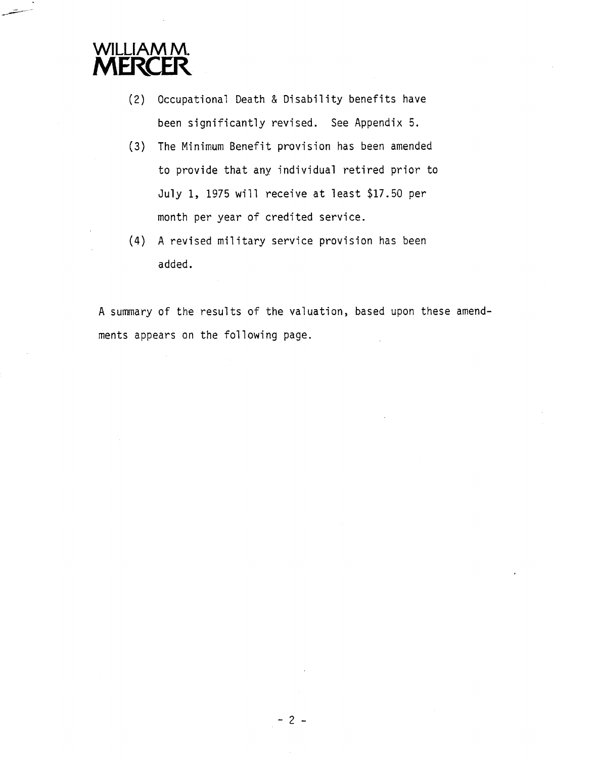

- (2) Occupational Death & Disability benefits have been significantly revised. See Appendix 5.
- **(3)** The Minimum Benefit provision has been amended to provide that any individual retired prior to July 1, 1975 will receive at least \$17.50 per month per year of credited service.
- $(4)$  A revised military service provision has been added.

A summary of the results of the valuation, based upon these amendments appears on the following page.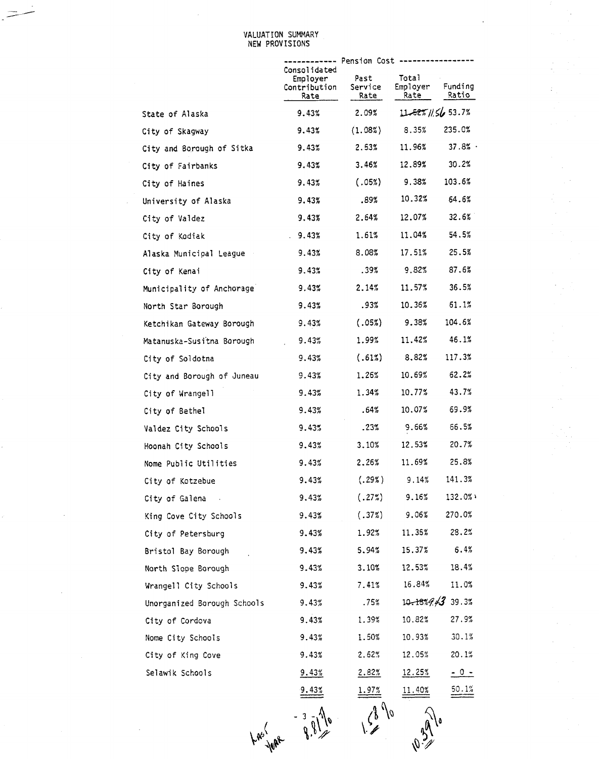#### VALUATION SUMMARY NEW PROVISIONS

|                              |                                                  | ------- Pension Cost    |                                 |                          |
|------------------------------|--------------------------------------------------|-------------------------|---------------------------------|--------------------------|
|                              | Consolidated<br>Employer<br>Contribution<br>Rate | Past<br>Service<br>Rate | Total<br>Employer<br>Rate       | Funding<br>Ratio         |
| State of Alaska              | 9.43%                                            | 2.09%                   | $11 - 52\frac{1}{6}$ //56 53.7% |                          |
| City of Skagway              | 9.43%                                            | (1.08%)                 | 8.35%                           | 235.0%                   |
| City and Borough of Sitka    | 9.43%                                            | 2.53%                   | 11.96%                          | 37.8%                    |
| City of Fairbanks            | 9.43%                                            | 3.46%                   | 12.89%                          | 30.2%                    |
| City of Haines               | 9.43%                                            | (.05%)                  | 9.38%                           | 103.6%                   |
| University of Alaska         | 9.43%                                            | .89%                    | 10.32%                          | 64.6%                    |
| City of Valdez               | 9.43%                                            | 2.64%                   | 12.07%                          | 32.6%                    |
| City of Kodiak               | 9.43%                                            | 1.61%                   | 11.04%                          | 54.5%                    |
| Alaska Municipal League      | 9.43%                                            | 8.08%                   | 17.51%                          | 25.5%                    |
| City of Kenai                | 9.43%                                            | .39%                    | 9.82%                           | 87.6%                    |
| Municipality of Anchorage    | 9.43%                                            | 2.14%                   | 11.57%                          | 36.5%                    |
| North Star Borough           | 9.43%                                            | .93%                    | 10.36%                          | 51.1%                    |
| Ketchikan Gateway Borough    | 9.43%                                            | (.05%)                  | 9.38%                           | 104.6%                   |
| Matanuska-Susitna Borough    | 9.43%                                            | 1.99%                   | 11.42%                          | 46.1%                    |
| City of Soldotna             | 9.43%                                            | (.61%)                  | 8.82%                           | 117.3%                   |
| City and Borough of Juneau   | 9.43%                                            | 1.26%                   | 10.69%                          | 62.2%                    |
| City of Wrangell             | 9.43%                                            | 1.34%                   | 10.77%                          | 43.7%                    |
| City of Bethel               | 9.43%                                            | .64%                    | 10.07%                          | 69.9%                    |
| Valdez City Schools          | 9.43%                                            | .23%                    | 9.66%                           | 66.5%                    |
| Hoonah City Schools          | 9.43%                                            | 3.10%                   | 12.53%                          | 20.7%                    |
| Nome Public Utilities        | 9.43%                                            | 2.26%                   | 11.69%                          | 25.8%                    |
| City of Kotzebue             | 9.43%                                            | (.29%)                  | 9.14%                           | 141.3%                   |
| City of Galena<br>$\sim$ $-$ | 9.43%                                            | (.27%)                  | 9.16%                           | 132.0%                   |
| King Cove City Schools       | 9.43%                                            | (.37%)                  | 9.06%                           | 270.0%                   |
| City of Petersburg           | 9.43%                                            | 1.92%                   | 11.35%                          | 28.2%                    |
| Bristol Bay Borough          | 9.43%                                            | 5.94%                   | 15.37%                          | 6.4%                     |
| North Slope Borough          | 9.43%                                            | 3.10%                   | 12.53%                          | 18.4%                    |
| Wrangell City Schools        | 9.43%                                            | 7.41%                   | 16.84%                          | 11.0%                    |
| Unorganized Borough Schools  | 9.43%                                            | .75%                    |                                 | $10.18\frac{1}{4}$ 39.3% |
| City of Cordova              | 9.43%                                            | 1.39%                   | 10.82%                          | 27.9%                    |
| Nome City Schools            | 9.43%                                            | 1.50%                   | 10.93%                          | 30.1%                    |
| City of King Cove            | 9.43%                                            | 2.62%                   | 12.05%                          | 20.1%                    |
| Selawik Schools              | 9.43%                                            | 2.82%                   | 12.25%                          | <u> - 0 -</u>            |
|                              |                                                  | 1.97%                   |                                 | $\frac{50.1\%}{20}$      |
|                              |                                                  |                         |                                 |                          |

Las June 9.91 o

 $\sqrt{2}$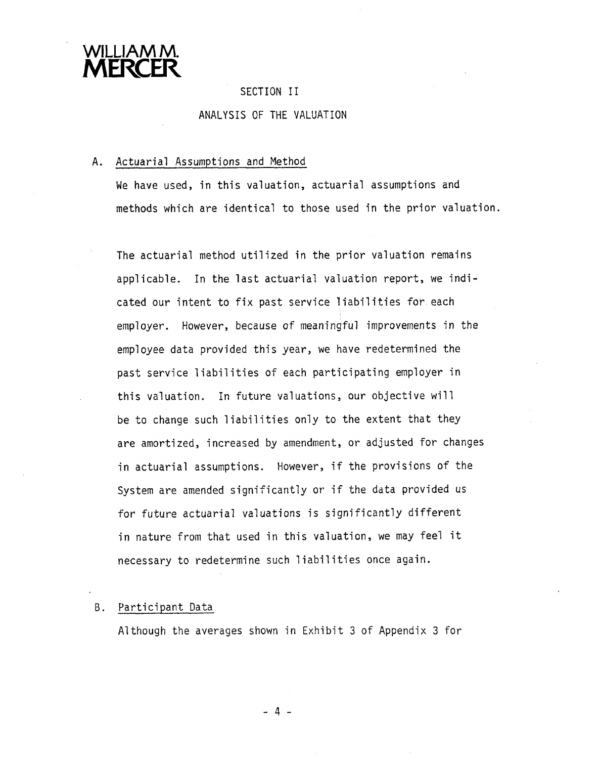

#### SECTION I1

#### ANALYSIS OF THE VALUATION

#### **A.** Actuarial Assumptions and Method

We have used, in this valuation, actuarial assumptions and methods which are identical to those used in the prior valuation.

The actuarial method utilized in the prior valuation remains applicable. In the last actuarial valuation report, we indicated our intent to fix past service liabilities for each employer. However, because of meaningful improvements in the employee data provided this year, we have redetermined the past service liabilities of each participating employer in this valuation. In future valuations, our objective will be to change such liabilities only to the extent that they are amortized, increased by amendment, or adjusted for changes in actuarial assumptions. However, if the provisions of the System are amended significantly or if the data provided us for future actuarial valuations is significantly different in nature from that used in this valuation, we may feel it necessary to redetermine such liabilities once again.

#### B. Participant Data

Although the averages shown in Exhibit **3** of Appendix **3** for

-4-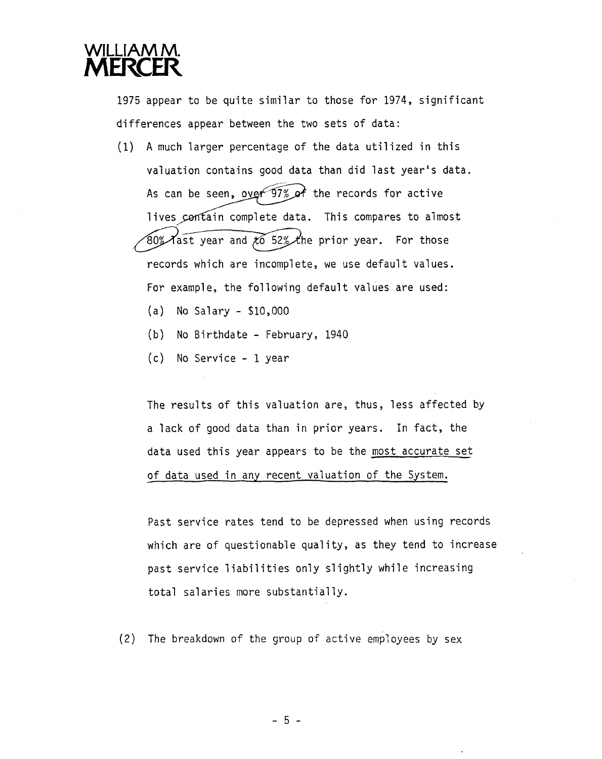

1975 appear to be quite similar to those for 1974, significant differences appear between the two sets of data:

- (1) A much larger percentage of the data utilized in this valuation contains good data than did last year's data. As can be seen, over  $97%$  of the records for active lives contain complete data. This compares to almost 80% Tast year and  $\overline{66}$  52% the prior year. For those records which are incomplete, we use default values. For example, the following default values are used: (a) No Salary - \$10,000
	- (b) No Birthdate February, 1940
	- (c) No Service 1 year

The results of this valuation are, thus, less affected by a lack of good data than in prior years. In fact, the data used this year appears to be the most accurate set of data used in any recent valuation of the System.

Past service rates tend to be depressed when using records which are of questionable quality, as they tend to increase past service liabilities only slightly while increasing total salaries more substantially.

(2) The breakdown of the group of active emp?oyees by sex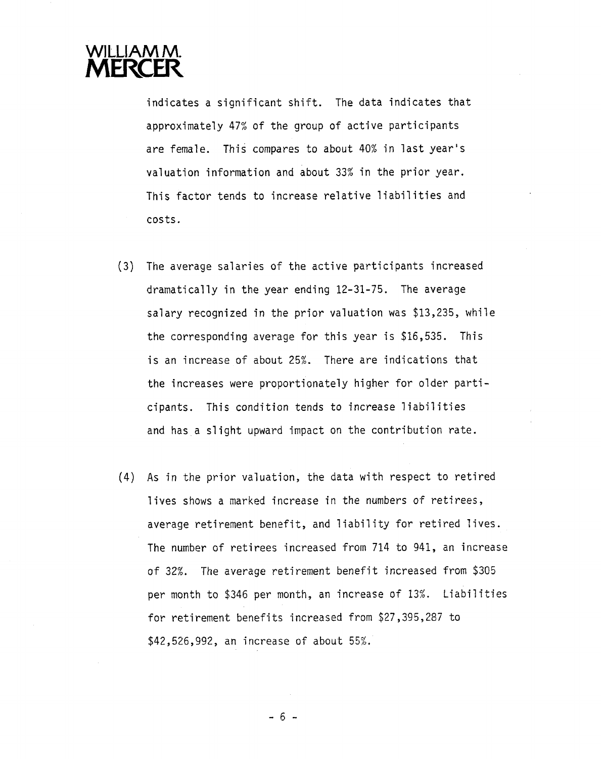

indicates a significant shift. The data indicates that approximately 47% of the group of active participants are female. This compares to about 40% in last year's valuation information and about 33% in the prior year. This factor tends to increase relative liabilities and costs .

- **(3)** The average salaries of the active participants increased dramatically in the year ending 12-31-75. The average salary recognized in the prior valuation was \$13,235, while the corresponding average for this year is \$16,535. This is an increase of about 25%. There are indications that the increases were proportionately higher for older participants. This condition tends to increase liabilities and has a slight upward impact on the contribution rate.
- (4) As in the prior valuation, the data with respect to retired lives shows a marked increase in the numbers of retirees, average retirement benefit, and liability for retired lives. The number of retirees increased from 714 to 941, an increase of 32%. The average retirement benefit increased from \$305 per month to \$346 per month, an increase of 13%. Liabilities for retirement benefits increased from \$27,395,287 to \$42,526,992, an increase of about 55%.

 $-6-$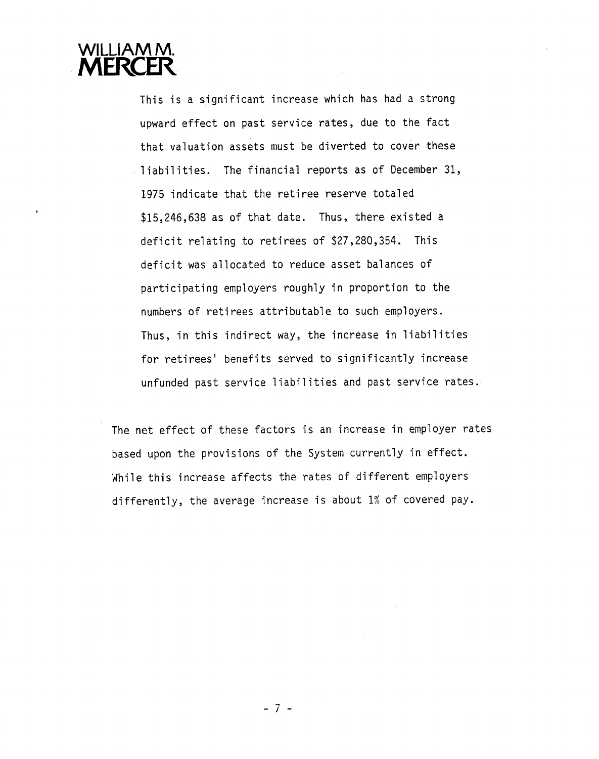

This is a significant increase which has had a strong upward effect on past service rates, due to the fact that valuation assets must be diverted to cover these liabilities. The financial reports as of December 31, 1975 indicate that the retiree reserve totaled \$15,246,638 as of that date. Thus, there existed a deficit relating to retirees of \$27,280,354. This deficit was allocated to reduce asset balances of participating employers roughly in proportion to the numbers of retirees attributable to such employers. Thus, in this indirect way, the increase in liabilities for retirees' benefits served to significantly increase unfunded past service liabilities and past service rates.

The net effect of these factors is an increase in employer rates based upon the provisions of the System currently in effect. While this increase affects the rates of different employers differently, the average increase is about 1% of covered pay.

 $-7-$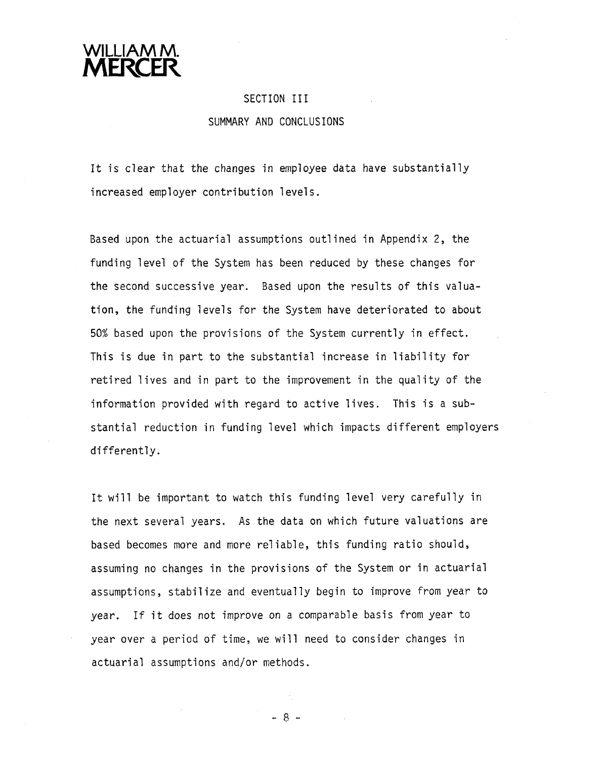

#### SECTION 111

#### SUMMARY AND CONCLUSIONS

It is clear that the changes in employee data have subs increased employer contribution levels.

Based upon the actuarial assumptions outlined in Appendix 2, the funding level of the System has been reduced by these changes for the second successive year. Based upon the results of this valuation, the funding levels for the System have deteriorated to about 50% based upon the provisions of the System currently in effect. This is due in part to the substantial increase in liability for retired lives and in part to the improvement in the quality of the information provided with regard to active lives. This is a substantial reduction in funding level which impacts different employers differently.

It will be important to watch this funding level very carefully in the next several years. As the data on which future valuations are based becomes more and more reliable, this funding ratio should, assuming no changes in the provisions of the System or in actuarial assumptions, stabilize and eventually begin to improve from year to year. If it does not improve on a comparable basis from year to year over a period of time, we will need to consider changes in actuarial assumptions and/or methods.

 $-8-$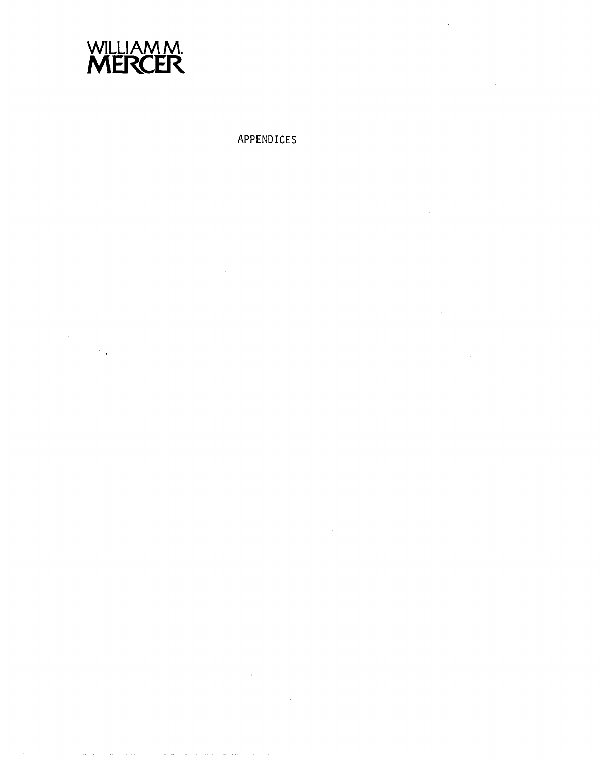

# APPENDICES

 $\sim$   $_{\star}$ 

 $\hat{\mathcal{A}}$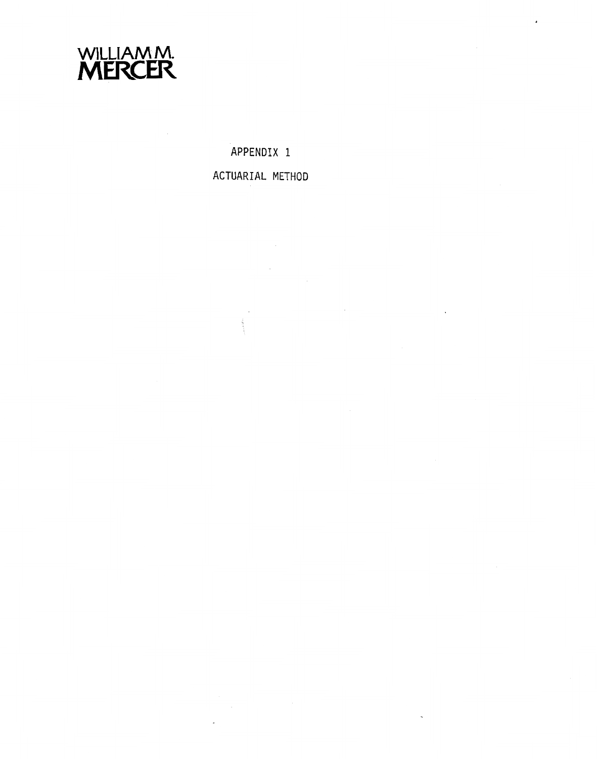

APPENDIX 1

ACTUARIAL METHOD

 $\sim 10$ 

 $\bar{\omega}$ 

 $\Delta \sim 10^4$ 

 $\mathcal{L}_{\text{max}}$  and  $\mathcal{L}_{\text{max}}$  .

 $\frac{1}{2}$ 

 $\mathcal{L}^{\text{max}}_{\text{max}}$ 

 $\sim 10$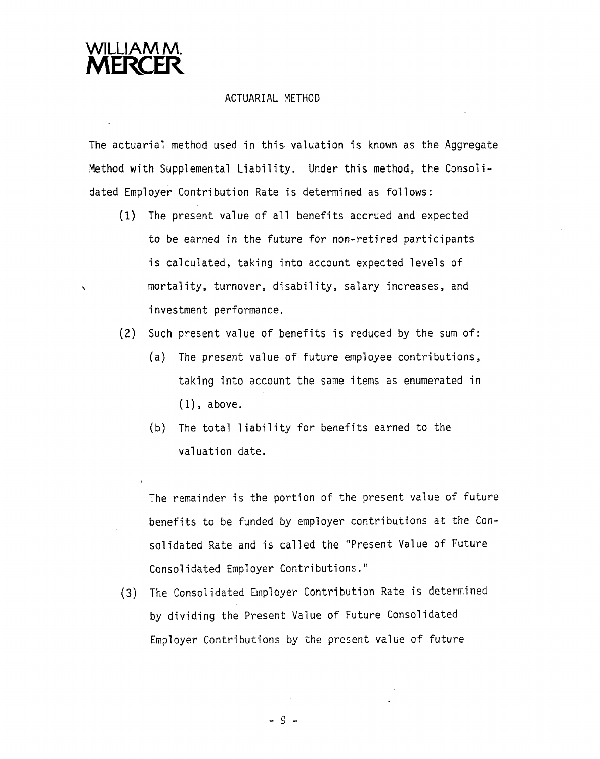

#### ACTUARIAL METHOD

The actuarial method used in this valuation is known as the Aggregate Method with Supplemental Liability. Under this method, the Consolidated Employer Contribution Rate is determined as follows:

- (1) The present value of all benefits accrued and expected to be earned in the future for non-retired participants is calculated, taking into account expected levels of mortality, turnover, disability, salary increases, and investment performance.
- **(2)** Such present value of benefits is reduced by the sum of:
	- (a) The present value of future employee contributions , taking into account the same items as enumerated in (I), above.
	- (b) The total liability for benefits earned to the valuation date.

The remainder is the portion of the present value of future benefits to be funded by employer contributions at the Consolidated Rate and is called the "Present Value of Future Consolidated Employer Contributions."

(3) The Cons01 idated Employer Contribution Rate is determined by dividing the Present Value of Future Consolidated Employer Contributions by the present value of future

 $-9 -$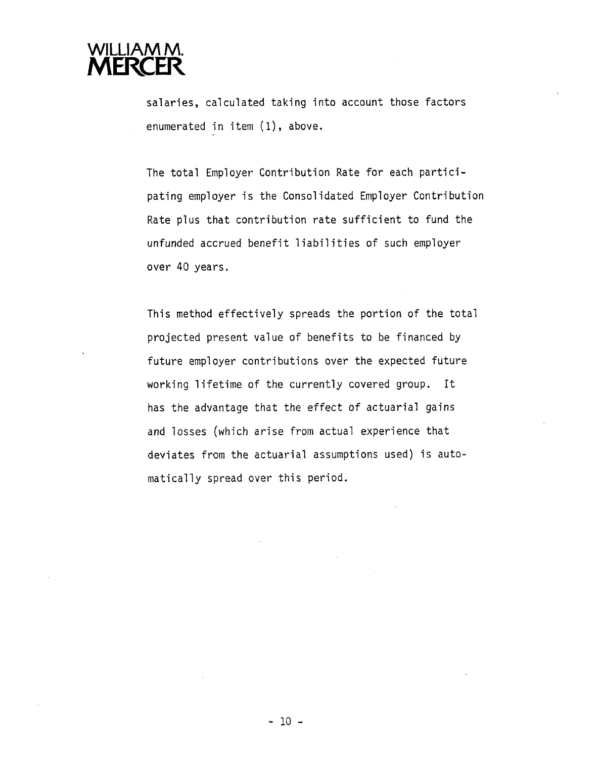

salaries, calculated taking into account those factors enumerated in item (1), above.

The total Employer Contribution Rate for each participating employer is the Consolidated Employer Contribution Rate plus that contribution rate sufficient to fund the unfunded accrued benefit liabilities of such employer over 40 years.

This method effectively spreads the portion of the total projected present value of benefits to be financed by future employer contributions over the expected future working lifetime of the currently covered group. It has the advantage that the effect of actuarial gains and losses (which arise from actual experience that deviates from the actuarial assumptions used) is automatically spread over this period.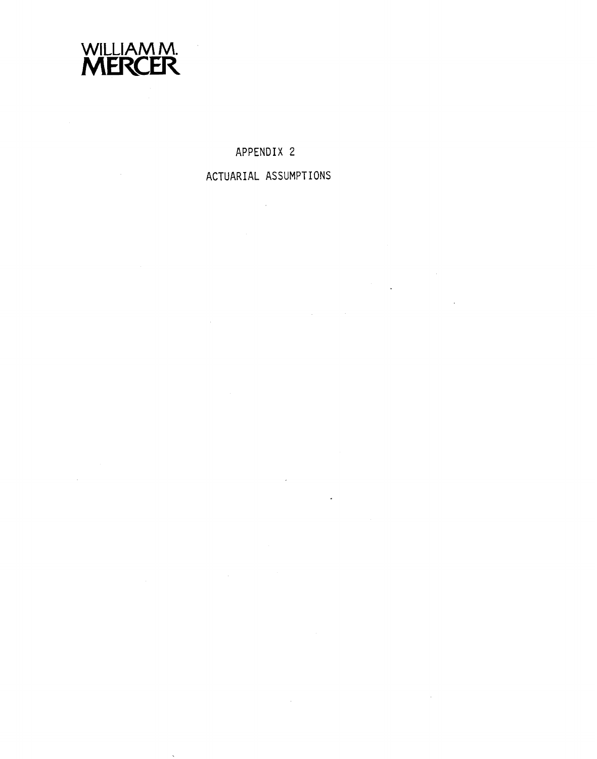

 $\sim 10$ 

**APPENDIX 2** 

**ACTUARIAL ASSUMPTIONS** 

 $\ddot{\phantom{1}}$ 

 $\sim$ 

 $\label{eq:2.1} \mathcal{L}_{\mathcal{A}} = \mathcal{L}_{\mathcal{A}} \left( \mathcal{L}_{\mathcal{A}} \right) \otimes \mathcal{L}_{\mathcal{A}} \left( \mathcal{L}_{\mathcal{A}} \right)$ 

 $\ddot{\phantom{a}}$ 

 $\hat{\mathcal{L}}$ 

 $\sim 10^{-1}$ 

 $\mathcal{L}^{\text{max}}_{\text{max}}$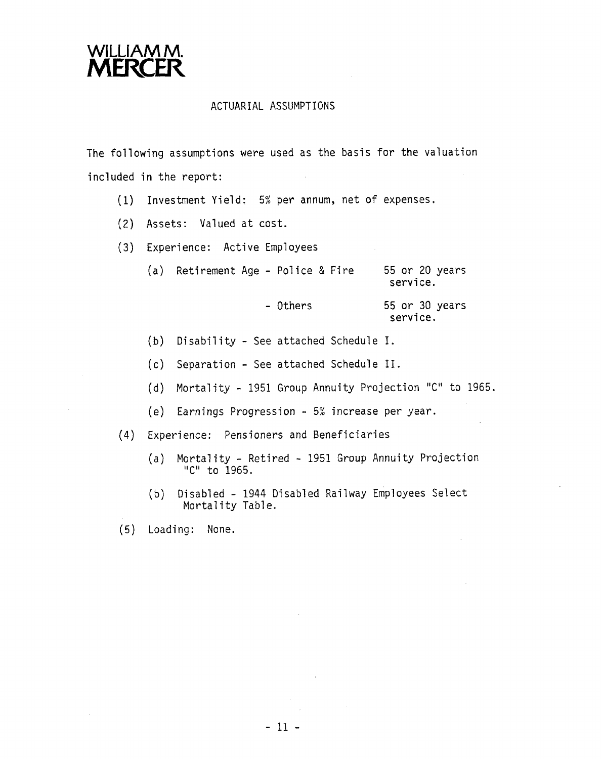

#### ACTUARIAL ASSUMPTIONS

The following assumptions were used as the basis for the valuation included in the report:

- (1) Investment Yield: 5% per annum, net of expenses.
- (2) Assets: Valued at cost.
- (3) Experience: Active Employees

| (a) Retirement Age - Police & Fire |          | 55 or 20 years<br>service. |  |
|------------------------------------|----------|----------------------------|--|
|                                    | - Others | 55 or 30 years<br>service. |  |

- (b) Disability See attached Schedule I.
- (c) Separation See attached Schedule 11.
- (d) Mortality 1951 Group Annuity Projection "C" to 1965.
- (e) Earnings Progression 5% increase per year.
- (4) Experience: Pensioners and Beneficiaries
	- (a) Mortality Retired 1951 Group Annuity Projection "C" to 1965.
	- (b) Disabled 1944 Disabled Railway Employees Select Mortality Table.
- (5) Loading: None.

 $-11 -$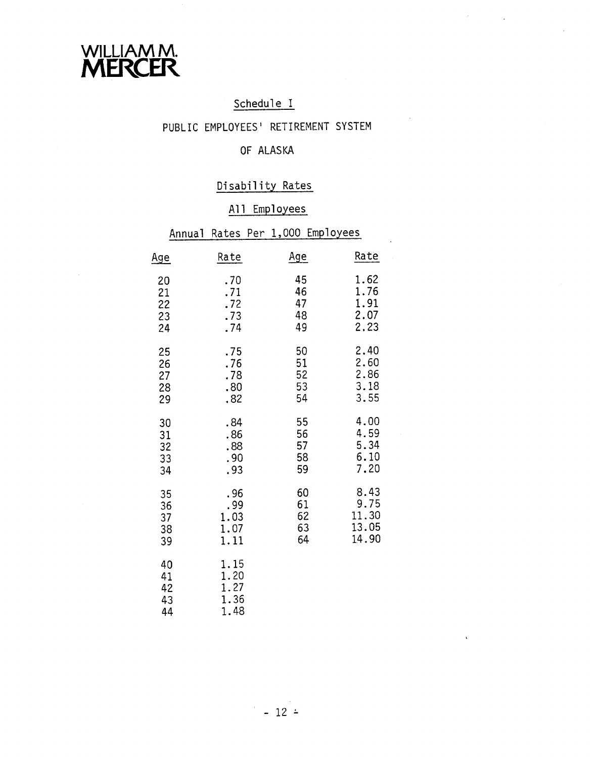

# Schedule I

 $\sigma_{\rm{max}}=1$ 

## PUBLIC EMPLOYEES' RETIREMENT SYSTEM

# OF ALASKA

# Disability Rates

# All Employees

|                            | Annual                     |                                      | Rates Per 1,000 Employees  |                                         |
|----------------------------|----------------------------|--------------------------------------|----------------------------|-----------------------------------------|
| <u>Age</u>                 |                            | Rate                                 | <u>Age</u>                 | Rate                                    |
| 20<br>21<br>22<br>23<br>24 |                            | .70<br>.71<br>.72<br>.73<br>.74      | 45<br>46<br>47<br>48<br>49 | 1.62<br>1.76<br>1.91<br>2.07<br>2.23    |
| 25                         | 26<br>27<br>28<br>29       | .75<br>.76<br>.78<br>.80<br>.82      | 50<br>51<br>52<br>53<br>54 | 2.40<br>2.60<br>2.86<br>3.18<br>3.55    |
|                            | 30<br>31<br>32<br>33<br>34 | .84<br>.86<br>.88<br>.90<br>.93      | 55<br>56<br>57<br>58<br>59 | 4.00<br>4.59<br>5.34<br>6.10<br>7.20    |
|                            | 35<br>36<br>37<br>38<br>39 | .96<br>.99<br>1.03<br>1.07<br>1.11   | 60<br>61<br>62<br>63<br>64 | 8.43<br>9.75<br>11.30<br>13.05<br>14.90 |
|                            | 40<br>41<br>42<br>43<br>44 | 1.15<br>1.20<br>1.27<br>1.36<br>1.48 |                            |                                         |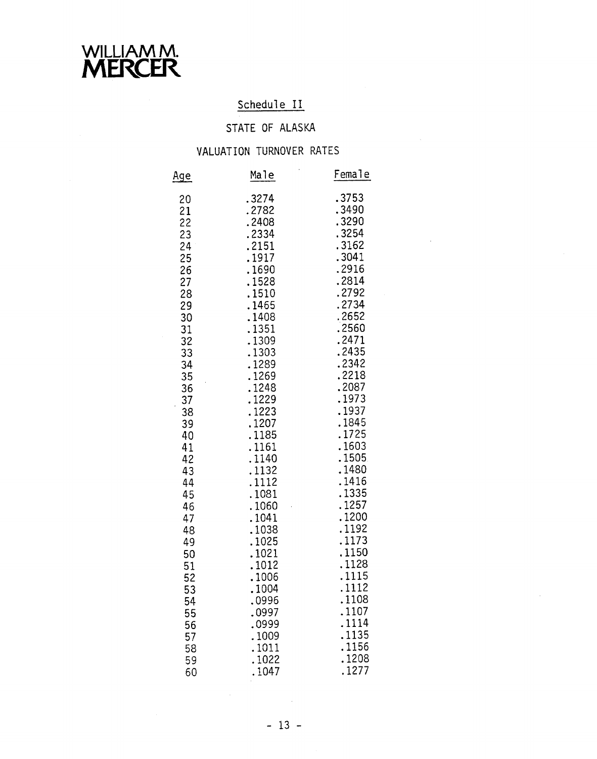

# Schedule II

# STATE OF ALASKA

# VALUATION TURNOVER RATES

| Male  | Female |
|-------|--------|
| 3274  | .3753  |
| .2782 | .3490  |
| .2408 | .3290  |
| .2334 | .3254  |
| .2151 | .3162  |
| .1917 | .3041  |
| .1690 | .2916  |
| .1528 | .2814  |
| .1510 | .2792  |
| .1465 | .2734  |
| .1408 | .2652  |
| .1351 | .2560  |
| .1309 | .2471  |
| 1303  | .2435  |
| 1289  | .2342  |
| .1269 | .2218  |
| .1248 | .2087  |
| .1229 | .1973  |
| .1223 | .1937  |
| .1207 | .1845  |
| 1185  | 1725   |
| 1161  | 1603   |
| .1140 | .1505  |
| 1132  | .1480  |
| .1112 | .1416  |
| .1081 | .1335  |
| .1060 | .1257  |
| .1041 | .1200  |
| .1038 | .1192  |
| .1025 | 1173   |
| .1021 | .1150  |
| .1012 | .1128  |
| 1006  | .1115  |
| .1004 | .1112  |
| .0996 | .1108  |
| .0997 | .1107  |
| .0999 | .1114  |
| .1009 | .1135  |
| 1011  | .1156  |
| 1022  | .1208  |
| 1047  | .1277  |
|       |        |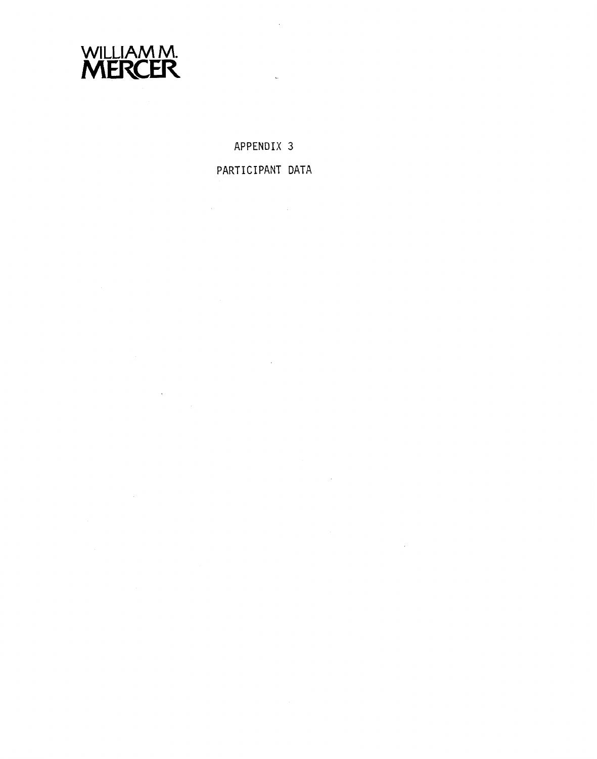

**APPENDIX 3** 

 $\bar{z}$ 

**PARTICIPANT DATA** 

 $\mathcal{L}^{\text{max}}$  ,  $\mathcal{L}^{\text{max}}$ 

 $\sim$ 

 $\label{eq:2} \frac{d\mathbf{y}}{dt} = \frac{d\mathbf{y}}{dt} \mathbf{y}$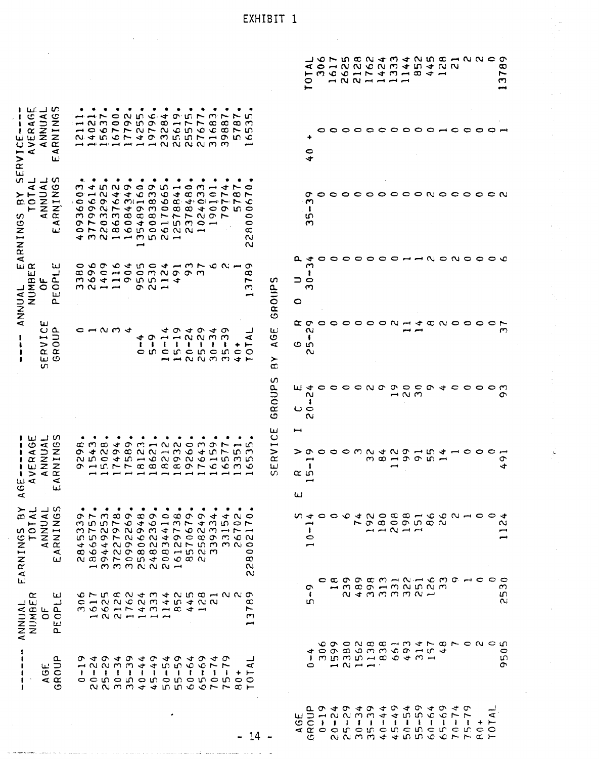|                                                                                                                                                                           |                                                                                                                                                                                                                                                                                                                                                                                                                                                                                                                                                                                                                                                                                                                                                                                                                                                                                                                                                                                                                                                                                                    | ۵ ۵ ۵ ۱<br>0                                                                                                                                                                                                                                                       | O N D N G N G A G A G A G A G A G A<br>$\begin{array}{c} \negthinspace \rightarrow \end{array} \begin{array}{c} \negthinspace \rightarrow \end{array} \begin{array}{c} \negthinspace \rightarrow \end{array} \begin{array}{c} \negthinspace \rightarrow \end{array}$                                                                                                                                                                                                                    |                 |                                             |                |         |              |              |              |         |                | $\infty$<br>$\overline{ }$<br>C         |
|---------------------------------------------------------------------------------------------------------------------------------------------------------------------------|----------------------------------------------------------------------------------------------------------------------------------------------------------------------------------------------------------------------------------------------------------------------------------------------------------------------------------------------------------------------------------------------------------------------------------------------------------------------------------------------------------------------------------------------------------------------------------------------------------------------------------------------------------------------------------------------------------------------------------------------------------------------------------------------------------------------------------------------------------------------------------------------------------------------------------------------------------------------------------------------------------------------------------------------------------------------------------------------------|--------------------------------------------------------------------------------------------------------------------------------------------------------------------------------------------------------------------------------------------------------------------|-----------------------------------------------------------------------------------------------------------------------------------------------------------------------------------------------------------------------------------------------------------------------------------------------------------------------------------------------------------------------------------------------------------------------------------------------------------------------------------------|-----------------|---------------------------------------------|----------------|---------|--------------|--------------|--------------|---------|----------------|-----------------------------------------|
| 1 U.J V<br>$\mathbf c$<br>ANNUAI<br>$\blacktriangleleft$<br>х.<br>VER<br>ı<br>سا<br>ပ<br>$\leq$<br>⋖<br>$\blacksquare$<br>$\frac{1}{\alpha}$<br>ш                         | n.<br>ত⇔<br>ᡋ<br>n Li<br>ന<br>0<br>N<br>r<br>$\sigma$ in $\sigma$ $\infty$<br>$ \sim$ $\sim$<br>$\circ$<br>$\infty$<br>$\infty$<br>ය ෆ<br>$\rightarrow$<br>$\overline{r}$<br>1007 PUP N C U O C<br>$\infty \succ n$<br>N 4 5 6 7 4 0 m 5 5 7 7 9 5 6<br><b>=======</b> >>>>                                                                                                                                                                                                                                                                                                                                                                                                                                                                                                                                                                                                                                                                                                                                                                                                                        | ÷                                                                                                                                                                                                                                                                  |                                                                                                                                                                                                                                                                                                                                                                                                                                                                                         | 00              | $\circ \circ \circ \circ \circ \circ \circ$ |                |         |              |              | c            |         | っ              |                                         |
| $\mathbf{u}$<br>n<br>⊣ ഗ<br>ANNUAI<br>RNINGS<br>4<br>TOT.<br>ARNINGS<br>$\blacktriangleleft$<br>ш                                                                         | ഗ ⊶<br>m √<br>n u o o<br>$\sigma$<br>$\circ$ $\circ$<br>ෑ<br>$\overline{\phantom{0}}$<br>0<br>$\mathfrak{O}$ m<br>$\bullet$<br>$\rightarrow$<br>$\alpha \wedge \alpha$<br>$\mathbf{\alpha}$<br>ෑ<br>$\rightarrow$<br>∞<br>$\sim$ $\rightarrow$<br>$\overline{\phantom{a}}$<br>$\bullet$<br>$m - \infty$<br>$\circ$ $\circ$<br>$\sigma$<br>$\mathbf{C}\cdot \mathbf{A}\cdot \mathbf{C}\cdot \mathbf{H}\cdot \mathbf{L}\cdot \mathbf{L}$<br>╰<br>$\begin{array}{ccccccccccccccccc} \multicolumn{4}{c}{} & \multicolumn{4}{c}{} & \multicolumn{4}{c}{} & \multicolumn{4}{c}{} & \multicolumn{4}{c}{} & \multicolumn{4}{c}{} & \multicolumn{4}{c}{} & \multicolumn{4}{c}{} & \multicolumn{4}{c}{} & \multicolumn{4}{c}{} & \multicolumn{4}{c}{} & \multicolumn{4}{c}{} & \multicolumn{4}{c}{} & \multicolumn{4}{c}{} & \multicolumn{4}{c}{} & \multicolumn{4}{c}{} & \multicolumn{4}{c}{} & \multicolumn{4}{c}{} & \multicolumn{4}{c}{} &$<br>$\sim$ $\sim$ $\sim$ $\sim$ $\sim$<br>99999989757897<br>0<br>0<br><b>O N N W W W O W N</b><br>$\sim$ $\sim$<br>∞<br><b>432113521</b><br>$\sim$<br>$\sim$ | σ<br>ب.<br>-1<br>m<br>ന                                                                                                                                                                                                                                            |                                                                                                                                                                                                                                                                                                                                                                                                                                                                                         | $\circ$ $\circ$ |                                             |                |         |              |              |              |         | $\circ$ $\sim$ |                                         |
| $\mathbf{u} \propto$<br>سا<br>ٮ<br>ш<br>NUMBI<br>ہ سا<br>$\overline{\circ}$<br>$\circ$<br>ANNUAL<br>لتأ<br>a.                                                             | Ő.<br>0 ທ<br>ᡡ<br>すらりょしろでものしゅ<br>$\infty$ $\infty$<br>$\rightarrow$ $\sim$ $\sim$ $\sim$ $\sim$<br>œ<br>റന<br>$m$ $Q$ $4$ $m$ $m$ $m$ $m$ $4$<br>∼<br>GROUPS<br>$m \sim -1$<br>$\sigma$ $\sim$ $-$<br>ო                                                                                                                                                                                                                                                                                                                                                                                                                                                                                                                                                                                                                                                                                                                                                                                                                                                                                            | a.<br>◅<br>٣<br>1<br>⊃ 0<br>$\mathbf{\Omega}$<br>0                                                                                                                                                                                                                 | 00000000HN0N0000                                                                                                                                                                                                                                                                                                                                                                                                                                                                        |                 |                                             |                |         |              |              |              |         |                |                                         |
| ш<br>ے ں<br><b>RVII</b><br>RVII<br>யம<br>S.                                                                                                                               | ш<br>$\rightarrow \sim \sim \rightarrow$<br>ෑ<br>ᡡ<br>すのすの<br>అ<br>$\sigma \rightarrow$<br>$ \sim$ $\sim$ $\sim$ $\sim$<br>ෑ<br>⋖<br>$\mathbf{I}$<br>⋖<br>$\mathbf{1}$<br>-<br>$\ddot{\phantom{a}}$<br>-1<br>$\mathbf{I}$<br>$\mathbf{I}$<br>٠<br>$\overline{ }$<br>$c$ in $c$ in $c$<br>c ທ c ທ<br>$\circ$<br>$H = N N M M + F$<br>≻<br>$\infty$                                                                                                                                                                                                                                                                                                                                                                                                                                                                                                                                                                                                                                                                                                                                                  | œσ<br>$\sim$<br>ł<br>ဇ ဖ<br>$\sim$                                                                                                                                                                                                                                 | o o o o o a u u o o o o                                                                                                                                                                                                                                                                                                                                                                                                                                                                 |                 |                                             |                |         |              |              |              |         | 0              | ొ                                       |
|                                                                                                                                                                           | S<br>GROUP                                                                                                                                                                                                                                                                                                                                                                                                                                                                                                                                                                                                                                                                                                                                                                                                                                                                                                                                                                                                                                                                                         | யுச<br>$\sim$<br>-<br>ပ ေ<br>$\sim$                                                                                                                                                                                                                                | o o o o n o o o o                                                                                                                                                                                                                                                                                                                                                                                                                                                                       |                 |                                             | $ \sim$ $\sim$ | $\circ$ | $\vec{v}$    |              | c o o        |         |                | თ                                       |
| ⊿ ഗ<br>ய<br>ဖ<br>ANNUAI<br>RNING:<br>$\blacktriangleleft$<br>$\mathbf{E}^{\mathbf{R}}$<br>$\,>$<br>1<br>$\overline{u}$ $\overline{u}$<br>⋖<br>ئعا<br>$\blacktriangleleft$ | ICE<br>$\vec{v}$<br>o m - N N 0 m o N - C<br>$\Rightarrow$<br>$\begin{array}{c}\n\sigma \varphi \wedge \alpha \wedge \alpha \rightarrow \alpha\n\end{array}$<br>$Q + U + E$<br>$\alpha \sim \alpha$<br>ო ო<br>$\propto$<br>$D \rightarrow Q \wedge Q \wedge Q$<br>N IN O<br>$\rightarrow$<br>$Q \rightarrow Q \rightarrow Q$<br>o Hurraaaaorcemo<br>ш<br>n                                                                                                                                                                                                                                                                                                                                                                                                                                                                                                                                                                                                                                                                                                                                         | ᡡ<br>⊷<br>αю<br>ш                                                                                                                                                                                                                                                  | $\begin{array}{ccccccccccccccccc} \multicolumn{4}{c}{} & \multicolumn{4}{c}{} & \multicolumn{4}{c}{} & \multicolumn{4}{c}{} & \multicolumn{4}{c}{} & \multicolumn{4}{c}{} & \multicolumn{4}{c}{} & \multicolumn{4}{c}{} & \multicolumn{4}{c}{} & \multicolumn{4}{c}{} & \multicolumn{4}{c}{} & \multicolumn{4}{c}{} & \multicolumn{4}{c}{} & \multicolumn{4}{c}{} & \multicolumn{4}{c}{} & \multicolumn{4}{c}{} & \multicolumn{4}{c}{} & \multicolumn{4}{c}{} & \multicolumn{4}{c}{} &$ |                 | $m$ $m$ $ m$ $ m$ $-$                       |                |         | $\vec{v}$    |              | $\sim$ 0     |         | ⊂              | σ<br>ෑ                                  |
| പ ഗ<br>لمسد<br>≻<br>TOTAL<br>ANNUAL<br>RNINGS<br>æ<br>$\overline{5}$<br>EARNING<br>$\prec$<br>ш                                                                           | $\sigma \vdash n$ $\alpha \circ \alpha$ $\sigma$ $\alpha$ $\sigma$ $\sigma$ $\sigma$ $\rightarrow$<br>$\blacktriangledown$<br>$\sim$ $\sim$<br>m n n r o t o h m r t w n o r<br>M H N O N O M + N O N M H H H<br>www.coccom.uu<br>すんもとり ひとうひて ちょうく<br>0<br>N & O L O W 4 O W & W<br>$^\infty$<br>$        -$<br>$\sim$                                                                                                                                                                                                                                                                                                                                                                                                                                                                                                                                                                                                                                                                                                                                                                             | a 4 0 0 0 4 0 0 0 0 0 0 0 0 0 0 0 4<br>−<br>$\mathbf{I}$<br>$\bullet$<br>پسم                                                                                                                                                                                       |                                                                                                                                                                                                                                                                                                                                                                                                                                                                                         |                 | rocoonco<br>$  \sim$ $ -$                   |                |         |              |              |              |         |                | $\sim$<br>$\overline{\phantom{a}}$<br>⊷ |
| $\propto$<br>ш<br>لــ<br>الما لہ<br><b>RHANN</b><br>ANNUA<br>ட்ட<br>$\circ$<br>ш<br>a.                                                                                    | $\sim$<br>G L N C O C C C C C C C C C C C C C C C C<br>œ<br>c - N N C N M 4 N 4 N N<br>MOCHTAMHA4H<br>$\blacktriangleright$<br>$\mathbf{\tau}$<br>بسير                                                                                                                                                                                                                                                                                                                                                                                                                                                                                                                                                                                                                                                                                                                                                                                                                                                                                                                                             | <sub>o</sub><br>-<br>m                                                                                                                                                                                                                                             | c c o o c m - n - c m o - c c c<br>$-m$ $\alpha$ $\alpha$ $\alpha$ $ m$ $\alpha$ $\alpha$ $\alpha$                                                                                                                                                                                                                                                                                                                                                                                      |                 | $\alpha$ d m m m $\alpha$ $\sim$            |                |         |              |              |              |         |                | $\infty$<br>ഗ<br>$\sim$                 |
| AGE<br>ROUP<br>$\mathbf{C}$                                                                                                                                               | ひょひょのょのょのょのょの<br>1225556677<br>⋖<br><b>FIFFIIIIIIIII</b><br>$+ +$<br>o c n o n o n o n o n o o<br>N N M M + + N N O O L L C L                                                                                                                                                                                                                                                                                                                                                                                                                                                                                                                                                                                                                                                                                                                                                                                                                                                                                                                                                                      | too ¤ o m m c o h m t<br>$1.79$ $1.79$ $1.79$ $1.79$ $1.79$ $1.79$ $1.79$ $1.79$ $1.79$ $1.79$ $1.79$ $1.79$ $1.79$ $1.79$ $1.79$ $1.79$ $1.79$ $1.79$ $1.79$ $1.79$ $1.79$ $1.79$ $1.79$ $1.79$ $1.79$ $1.79$ $1.79$ $1.79$ $1.79$ $1.79$ $1.79$ $1.7$<br>$\circ$ | cocnachmethoronon<br>$M \sim M$                                                                                                                                                                                                                                                                                                                                                                                                                                                         |                 |                                             |                |         |              |              |              |         |                | $\circ$<br>ഗ<br>σ                       |
|                                                                                                                                                                           | 14                                                                                                                                                                                                                                                                                                                                                                                                                                                                                                                                                                                                                                                                                                                                                                                                                                                                                                                                                                                                                                                                                                 | P 9 4 9 4 9 4 9 4 9 4 9 4 9<br>DANNMM + 4 U U O O C T T<br>المعا<br>$\circ$ $\circ$<br>$\rightarrow$ $\rightarrow$<br>c                                                                                                                                            | $\mathbf{I}$<br>N N M M 4 4 10 10 4 0 7 7 2 7                                                                                                                                                                                                                                                                                                                                                                                                                                           | $\mathbf{I}$    |                                             |                |         | $\mathbf{1}$ | $\mathbf{I}$ | $\mathbf{I}$ | $+$ $-$ | ⋖              |                                         |

i.<br>P

EXHIBIT 1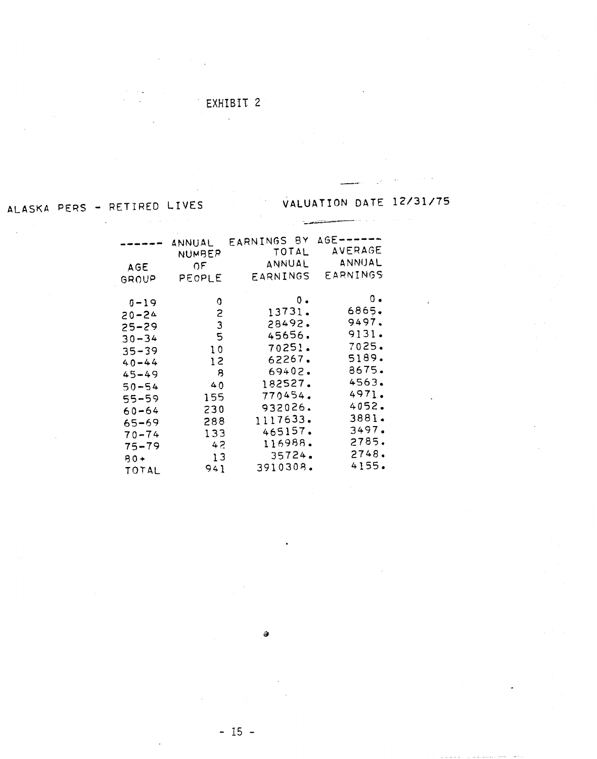# **EXHIBIT** 2  $\mathcal{L}_{\mathcal{A}}$

# VALUATION DATE 12/31/75

# ALASKA PERS - RETIRED LIVES

| AGE<br>GROUP                                                                                                                       | ANNUAL<br>NUMBER<br>0E.<br>PEOPLE                            | EARNINGS BY<br>TOTAL<br>ANNUAL<br>EARNINGS                                                                  | $AGE$ ------<br><b>AVERAGE</b><br>ANNUAL<br>EARNINGS                                                                |
|------------------------------------------------------------------------------------------------------------------------------------|--------------------------------------------------------------|-------------------------------------------------------------------------------------------------------------|---------------------------------------------------------------------------------------------------------------------|
| $0 - 19$<br>$20 - 24$<br>$25 - 29$<br>$30 - 34$<br>$35 - 39$<br>$40 - 44$<br>$45 - 49$<br>$50 - 54$<br>55-59<br>$60 - 64$<br>65-69 | 0<br>2<br>3<br>5<br>10<br>12<br>8<br>40<br>155<br>230<br>288 | ο.<br>13731.<br>28492.<br>45656.<br>70251.<br>62267.<br>69402.<br>182527.<br>770454.<br>932026.<br>1117633. | $\mathfrak{o}$ .<br>6865.<br>9497.<br>9131.<br>7025.<br>5189.<br>8675.<br>4563.<br>4971.<br>4052.<br>3881.<br>3497. |
| $70 - 74$<br>$75 - 79$<br>$80 +$<br>TOTAL                                                                                          | 133<br>42<br>13<br>941                                       | 465157.<br>116988.<br>35724.<br>3910308.                                                                    | 2785.<br>2748.<br>4155.                                                                                             |

ə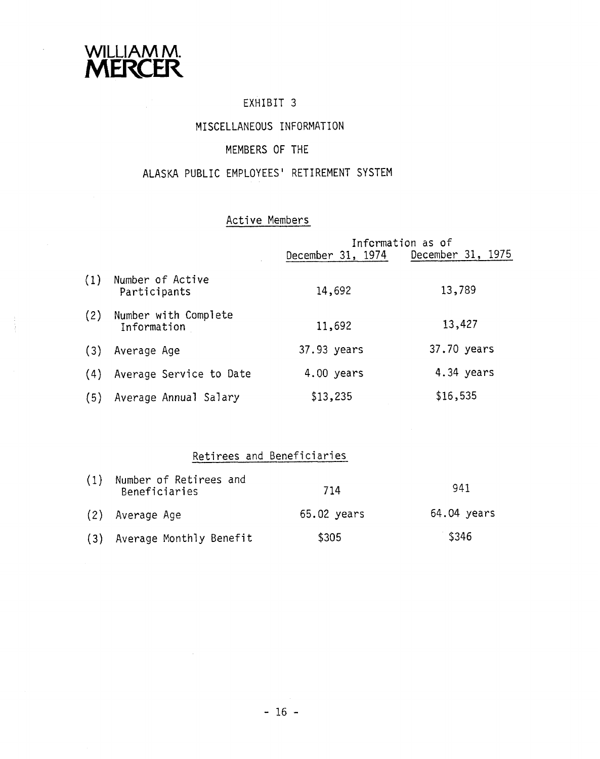

# EXHIBIT 3

## MISCELLANEOUS INFORMATION

## MEMBERS OF THE

## ALASKA PUBLIC EMPLOYEES' RETIREMENT SYSTEM

## Active Members

|     |                                     |                   | Information as of |
|-----|-------------------------------------|-------------------|-------------------|
|     |                                     | December 31, 1974 | December 31, 1975 |
| (1) | Number of Active<br>Participants    | 14,692            | 13,789            |
| (2) | Number with Complete<br>Information | 11,692            | 13,427            |
| (3) | Average Age                         | 37.93 years       | 37.70 years       |
| (4) | Average Service to Date             | 4.00 years        | 4.34 years        |
| (5) | Average Annual Salary               | \$13,235          | \$16,535          |

# Retirees and Beneficiaries

| (1) | Number of Retirees and<br>Beneficiaries | 714         | 941         |
|-----|-----------------------------------------|-------------|-------------|
|     | (2) Average Age                         | 65.02 years | 64.04 years |
|     | (3) Average Monthly Benefit             | \$305       | \$346       |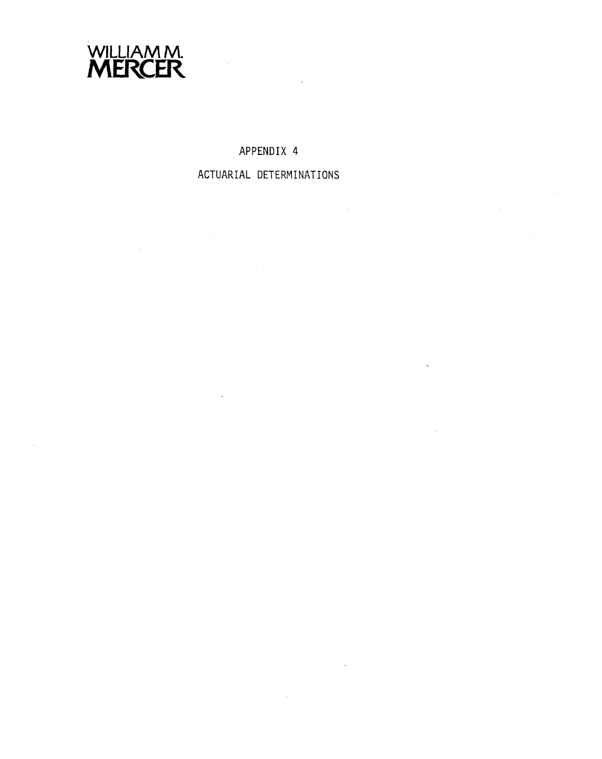

## **APPENDIX 4**

# **ACTUARIAL DETERMINATIONS**

 $\mathcal{L}_{\mathrm{in}}$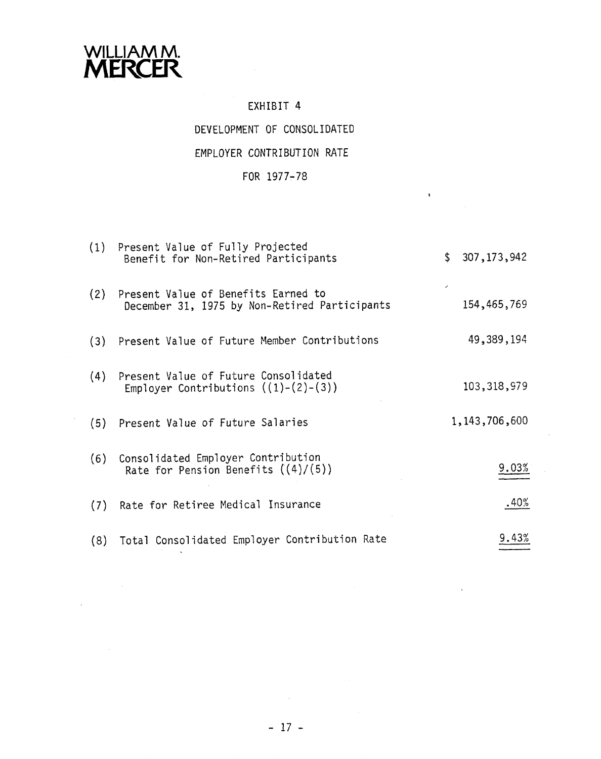

# EXHIBIT 4 DEVELOPMENT OF CONSOLIDATED EMPLOYER CONTRIBUTION RATE

# FOR 1977-78

 $\mathbf{v}$ 

|     | (1) Present Value of Fully Projected<br>Benefit for Non-Retired Participants         | \$307,173,942    |
|-----|--------------------------------------------------------------------------------------|------------------|
| (2) | Present Value of Benefits Earned to<br>December 31, 1975 by Non-Retired Participants | 154,465,769      |
|     | (3) Present Value of Future Member Contributions                                     | 49,389,194       |
|     | (4) Present Value of Future Consolidated<br>Employer Contributions $((1)-(2)-(3))$   | 103, 318, 979    |
|     | (5) Present Value of Future Salaries                                                 | 1, 143, 706, 600 |
|     | (6) Consolidated Employer Contribution<br>Rate for Pension Benefits $((4)/(5))$      | 9.03%            |
|     | (7) Rate for Retiree Medical Insurance                                               | .40%             |
|     | (8) Total Consolidated Employer Contribution Rate                                    | 9.43%            |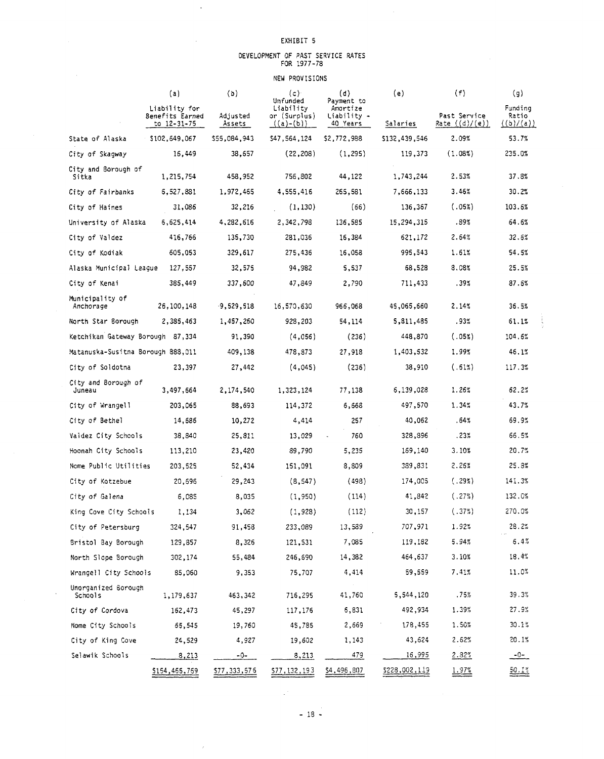$\ddot{\phantom{a}}$ 

 $\sim$ 

# DEVELOPMENT OF PAST SERVICE RATES FOR 1977-78

#### NEW PROVISIONS

|                                   | (a)                                                   | (b)                | (c)                                                  | (d)                                               | (e)           | (f)                              | (g)                           |
|-----------------------------------|-------------------------------------------------------|--------------------|------------------------------------------------------|---------------------------------------------------|---------------|----------------------------------|-------------------------------|
|                                   | Liability for<br>Benefits Earned<br>to $12 - 31 - 75$ | Adjusted<br>Assets | Unfunded<br>Liability<br>or (Surplus)<br>$((a)-(b))$ | Payment to<br>Amortize<br>Liability -<br>40 Years | Salaries      | Past Service<br>Rate $((d)/(e))$ | Funding<br>Ratio<br>((b)/(a)) |
| State of Alaska                   | \$102,649,067                                         | \$55,084,943       | \$47,564,124                                         | \$2,772.988                                       | \$132,439,546 | 2.09%                            | 53.7%                         |
| City of Skagway                   | 16,449                                                | 38,657             | (22, 208)                                            | (1, 295)                                          | 119,373       | (1.08%)                          | 235.0%                        |
| City and Borough of<br>Sitka      | 1,215,754                                             | 458,952            | 756,802                                              | 44,122                                            | 1,743,244     | 2.53%                            | 37.8%                         |
| City of Fairbanks                 | 6,527,881                                             | 1,972,465          | 4,555,416                                            | 265,581                                           | 7,666,133     | 3.46%                            | 30.2%                         |
| City of Haines                    | 31,086                                                | 32,216             | (1, 130)                                             | (66)                                              | 136,367       | (.05%)                           | 103.6%                        |
| University of Alaska              | 6,625,414                                             | 4,282,616          | 2,342,798                                            | 136,585                                           | 15,294,315    | .89%                             | 64.6%                         |
| City of Valdez                    | 416,766                                               | 135,730            | 281,036                                              | 16,384                                            | 621,172       | 2.64%                            | 32.6%                         |
| City of Kodiak                    | 605,053                                               | 329,617            | 275,436                                              | 16,058                                            | 995,543       | 1.61%                            | 54.5%                         |
| Alaska Municipal League           | 127,557                                               | 32,575             | 94,982                                               | 5,537                                             | 68,528        | 8.08%                            | 25.5%                         |
| City of Kenai                     | 385,449                                               | 337,600            | 47,849                                               | 2,790                                             | 711,433       | .39%                             | 87.6%                         |
| Municipality of<br>Anchorage      | 26,100,148                                            | $-9,529,518$       | 16,570,630                                           | 966,068                                           | 45,065,660    | 2.14%                            | 36.5%                         |
| North Star Borough                | 2,385,463                                             | 1,457,260          | 928,203                                              | 54,114                                            | 5,811,485     | .93%                             | 61.1%                         |
| Ketchikan Gateway Borough 87,334  |                                                       | 91,390             | (4, 056)                                             | (236)                                             | 448,870       | (.05%)                           | 104.6%                        |
| Matanuska-Susitna Borough 888,011 |                                                       | 409,138            | 478,873                                              | 27,918                                            | 1,403,532     | 1.99%                            | 46.1%                         |
| City of Soldotna                  | 23,397                                                | 27,442             | (4,045)                                              | (236)                                             | 38,910        | (.61%)                           | 117.3%                        |
| City and Borough of<br>Juneau     | 3,497,664                                             | 2,174,540          | 1,323,124                                            | 77,138                                            | 6,139,028     | 1.26%                            | 62.2%                         |
| City of Wrangell                  | 203,065                                               | 88,693             | 114,372                                              | 6,668                                             | 497,570       | 1.34%                            | 43.7%                         |
| City of Bethel                    | 14,686                                                | 10,272             | 4,414                                                | 257                                               | 40,062        | .64%                             | 69.9%                         |
| Valdez City Schools               | 38,840                                                | 25,811             | 13,029                                               | 760                                               | 328,896       | .23%                             | 66.5%                         |
| Hoonah City Schools               | 113,210                                               | 23,420             | 89,790                                               | 5,235                                             | 169,140       | 3.10%                            | 20.7%                         |
| Nome Public Utilities             | 203,525                                               | 52,434             | 151,091                                              | 8,809                                             | 389,831       | 2.25%                            | 25.8%                         |
| City of Kotzebue                  | 20,696                                                | 29,243             | (8, 547)                                             | (498)                                             | 174,005       | (.29%)                           | 141.3%                        |
| City of Galena                    | 6,085                                                 | 8,035              | (1, 950)                                             | (114)                                             | 41,842        | (.27%)                           | 132.0%                        |
| King Cove City Schools            | 1,134                                                 | 3,062              | (1, 928)                                             | (112)                                             | 30,157        | (.37%)                           | 270.0%                        |
| City of Petersburg                | 324,547                                               | 91,458             | 233,089                                              | 13,589                                            | 707,971       | 1.92%                            | 28.2%                         |
| Bristol Bay Borough               | 129,857                                               | 8,326              | 121,531                                              | 7,085                                             | 119,182       | 5.94%                            | 6.4%                          |
| North Slope Borough               | 302,174                                               | 55,484             | 246,690                                              | 14,382                                            | 464,637       | 3.10%                            | 18.4%                         |
| Wrangell City Schools             | 85,060                                                | 9,353              | 75,707                                               | 4,414                                             | 59,559        | 7.41%                            | 11.0%                         |
| Unorganized Borough<br>Schools    | 1,179,637                                             | 463,342            | 716,295                                              | 41,760                                            | 5,544,120     | .75%                             | 39.3%                         |
| City of Cordova                   | 162,473                                               | 45,297             | 117,176                                              | 6,831                                             | 492,934       | 1.39%                            | 27.9%                         |
| Nome City Schools                 | 65,545                                                | 19,760             | 45,785                                               | 2,669                                             | 178,455       | 1.50%                            | 30.1%                         |
| City of King Cove                 | 24,529                                                | 4,927              | 19,602                                               | 1,143                                             | 43,624        | $2.62\%$                         | 20.1%                         |
| Selawik Schools                   | <u>8,213</u>                                          | $-0-$              | <u>8,213</u>                                         | <u>479</u>                                        | <u>16,995</u> | 2.82%                            | <u>-0- -</u>                  |
|                                   | \$154,465,769                                         | \$77,333,576       | \$77,132,193                                         | \$4,496,807                                       | \$228,002,119 | 1.97%                            | $\frac{50.1%}{20}$            |

 $\frac{1}{2}$  and  $\frac{1}{2}$ 

 $\mathcal{A}^{(n)}$  .

 $\bar{\lambda}$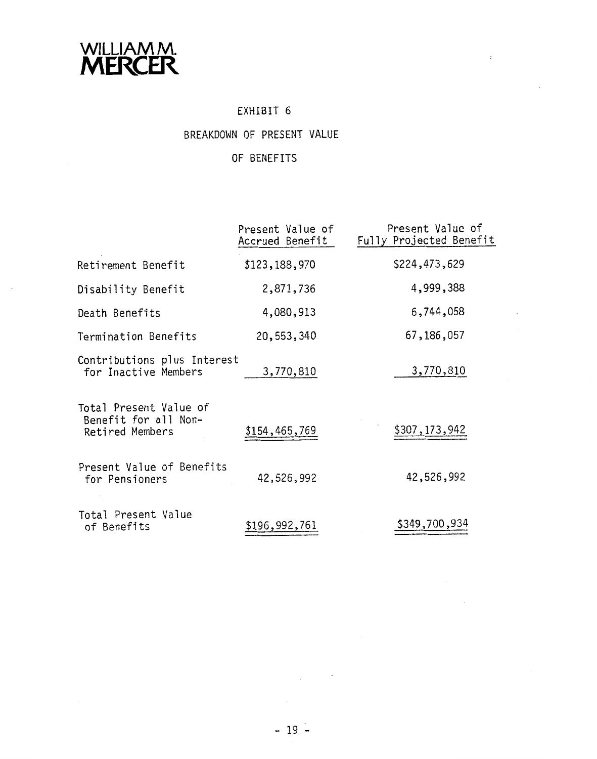

# EXHIBIT 6

 $\sim 10^{-1}$ 

# BREAKDOWN OF PRESENT VALUE

# OF BENEFITS

|                                                                   | Present Value of<br>Accrued Benefit | Present Value of<br>Fully Projected Benefit |
|-------------------------------------------------------------------|-------------------------------------|---------------------------------------------|
| Retirement Benefit                                                | \$123,188,970                       | \$224,473,629                               |
| Disability Benefit                                                | 2,871,736                           | 4,999,388                                   |
| Death Benefits                                                    | 4,080,913                           | 6,744,058                                   |
| Termination Benefits                                              | 20,553,340                          | 67, 186, 057                                |
| Contributions plus Interest<br>for Inactive Members               | 3,770,810                           | 3,770,810                                   |
| Total Present Value of<br>Benefit for all Non-<br>Retired Members | \$154,465,769                       | \$307,173,942                               |
| Present Value of Benefits<br>for Pensioners                       | 42,526,992                          | 42,526,992                                  |
| Total Present Value<br>of Benefits                                | \$196,992,761                       | \$349,700,934                               |

 $\mathcal{L}_{\text{max}}$  and  $\mathcal{L}_{\text{max}}$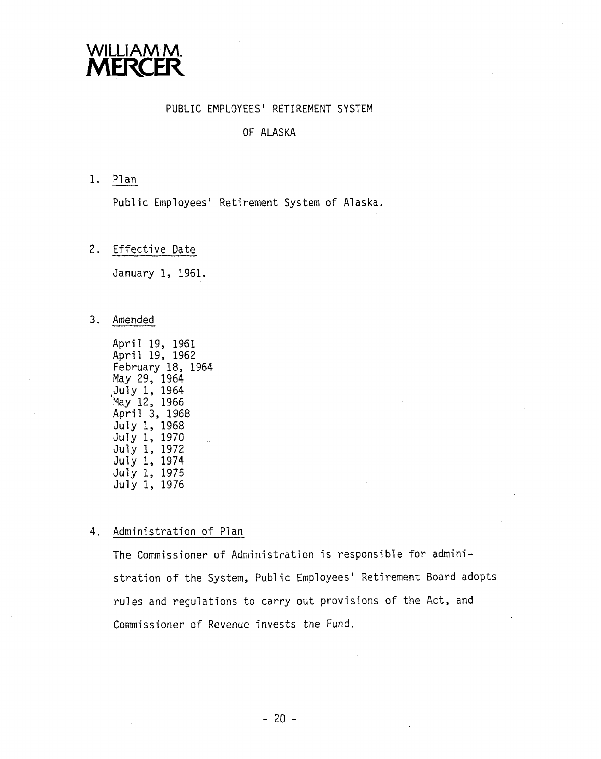

#### PUBLIC EMPLOYEES' RETIREMENT SYSTEM

#### OF ALASKA  $\sim$   $-$

1. Plan

Public Employees' Retirement System of Alaska.

2. Effective Date

January 1, 1961.

3. Amended

April 19, 1961 April 19, 1962 February 18, 1964 May 29, 1964 ,July 1, 1964 May 12, 1966 April 3, 1968 July 1, 1968 July 1, 1970 July 1, 1972 July 1, 1974 July 1, 1975 July 1, 1976

#### 4. Administration of Plan

The Commissioner of Administration is responsible for administration of the System, Public Employees' Retirement Board adopts rules and regulations to carry out provisions of the Act, and Commissioner of Revenue invests the Fund.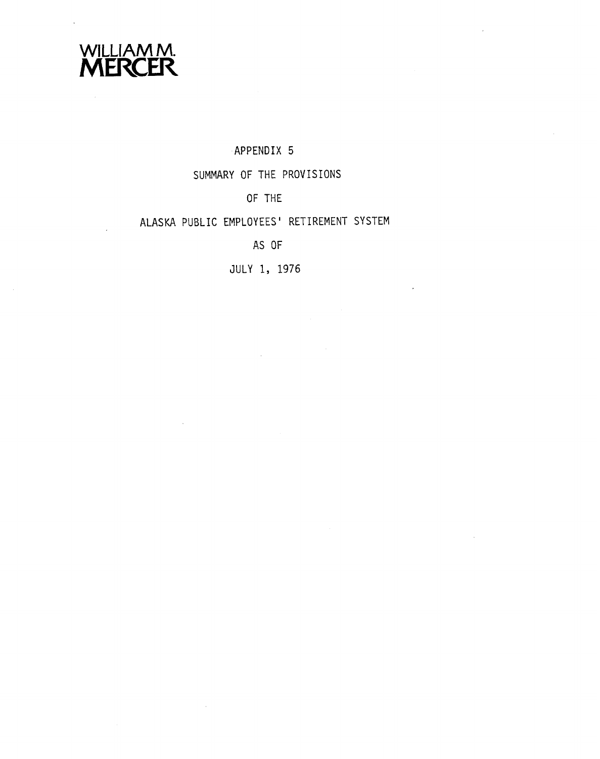

### APPENDIX 5

# SUMMARY OF THE PROVISIONS

# OF THE

## ALASKA PUBLIC EMPLOYEES ' RETIREMENT SYSTEM

# AS OF

JULY 1, 1976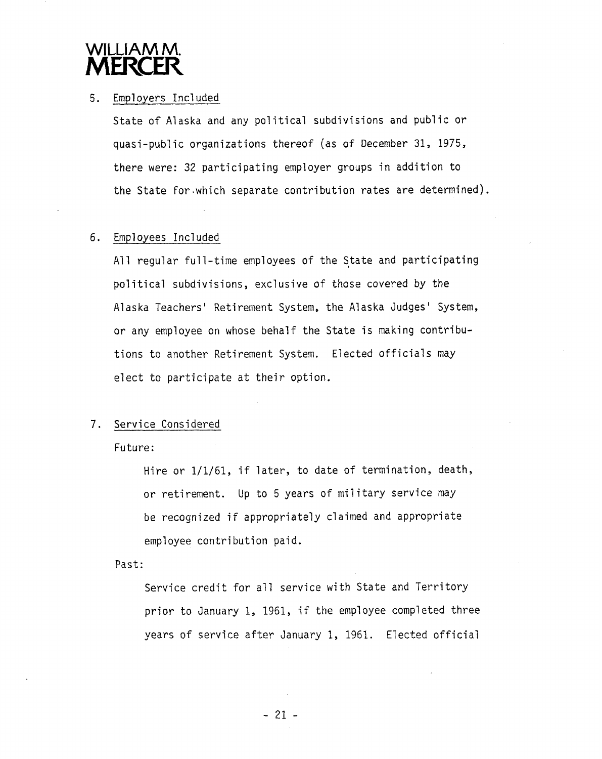# WILLIAM M **MERCER**

### 5. Employers Included

State of Alaska and any political subdivisions and public or quasi-pub1 ic organizations thereof (as of December **31,** 1975, there were: 32 participating employer groups in addition to the State for.which separate contribution rates are determined).

### 6. Employees Included

All regular full-time employees of the State and participating political subdivisions, exclusive of those covered by the Alaska Teachers' Retirement System, the Alaska Judges' System, or any employee on whose behalf the State is making contributions to another Retirement System. Elected officials may elect to participate at their option.

#### 7. Service Considered

Future :

Hire or 1/1/61, if later, to date of termination, death, or retirement. Up to 5 years of military service may be recognized if appropriately claimed and appropriate employee contribution paid.

Past:

Service credit for all service with State and Territory prior to January 1, 1961, if the employee completed three years of service after January 1, 1961. Elected official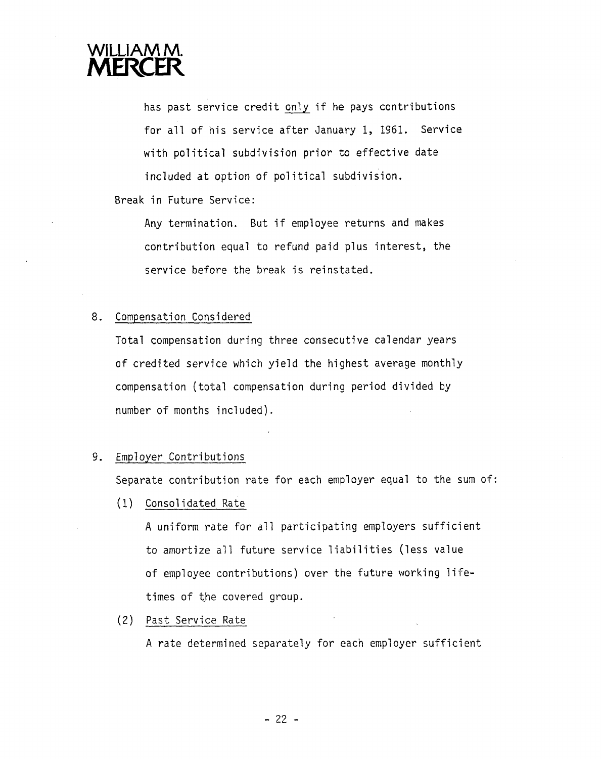# WILLIAM M **MERCER**

has past service credit only if he pays contributions for all of his service after January 1, 1961. Service with political subdivision prior to effective date included at option of political subdivision.

### Break in Future Service:

Any termination. But if employee returns and makes contribution equal to refund paid plus interest, the service before the break is reinstated.

### 8. Compensation Considered

Total compensation during three consecutive calendar years of credited service which yield the highest average monthly compensation (total compensation during period divided by number of months included).

### 9. Employer Contributions

Separate contribution rate for each employer equal to the sum of:

(1) Consol idated Rate

A uniform rate for all participating employers sufficient to amortize all future service liabilities (less value of employee contributions) over the future working lifetimes of the covered group.

(2) Past Service Rate

A rate determined separately for each employer sufficient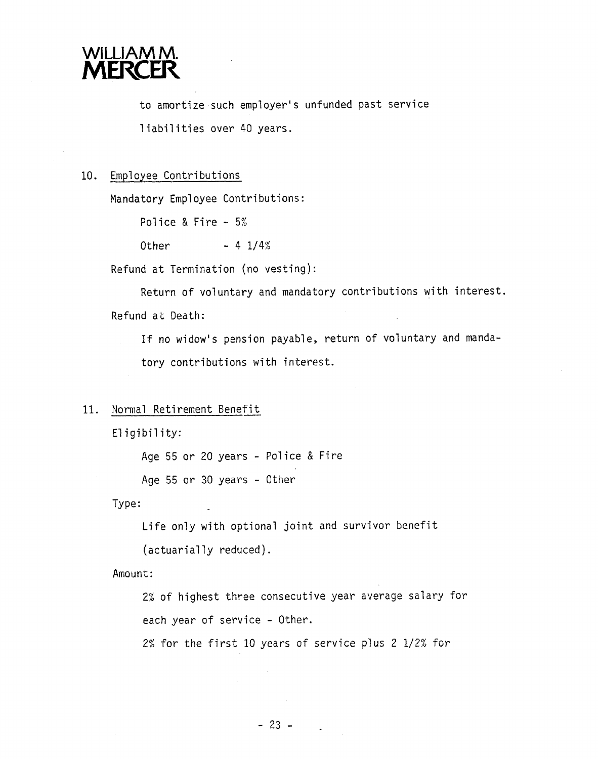

to amortize such employer's unfunded past service liabilities over 40 years.

#### 10. Employee Contributions

Mandatory Employee Contributions:

Police & Fire - 5%

Other  $- 4 \frac{1}{4}$ 

Refund at Termination (no vesting) :

Return of voluntary and mandatory contributions with interest. Refund at Death:

If no widow's pension payable, return of voluntary and mandatory contributions with interest.

#### 11. Normal Retirement Benefit

Eligibility:

Age 55 or 20 years - Police & Fire

Age 55 or 30 years - Other

Type:

Life only with optional joint and survivor benefit

(actuarially reduced).

Amount:

2% of highest three consecutive year average salary for each year of service - Other.

2% for the first 10 years of service plus 2 1/2% for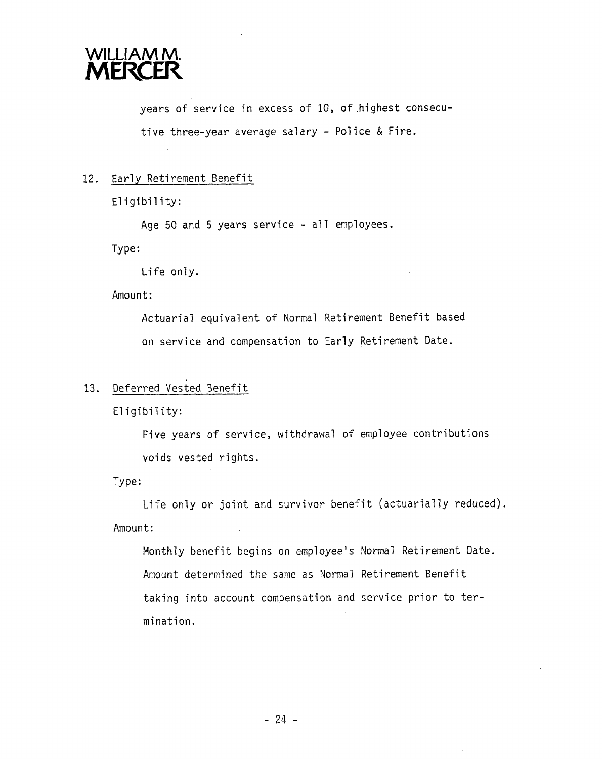

years of service in excess of 10, of highest consecutive three-year average salary - Police & Fire.

#### 12. Early Retirement Benefit

Eligibility:

Age 50 and 5 years service - a11 employees.

Type:

Life only.

Amount:

Actuarial equivalent of Normal Retirement Benefit based on service and compensation to Early Retirement Date.

#### 13. Deferred vested Benefit

Eligibility:

Five years of service, withdrawal of employee contributions voids vested rights.

Type:

Life only or joint and survivor benefit (actuarially reduced). Amount:

Monthly benefit begins on employee's Normal Retirement Date. Amount determined the same as Normal Retirement Benefit taking into account compensation and service prior to termination.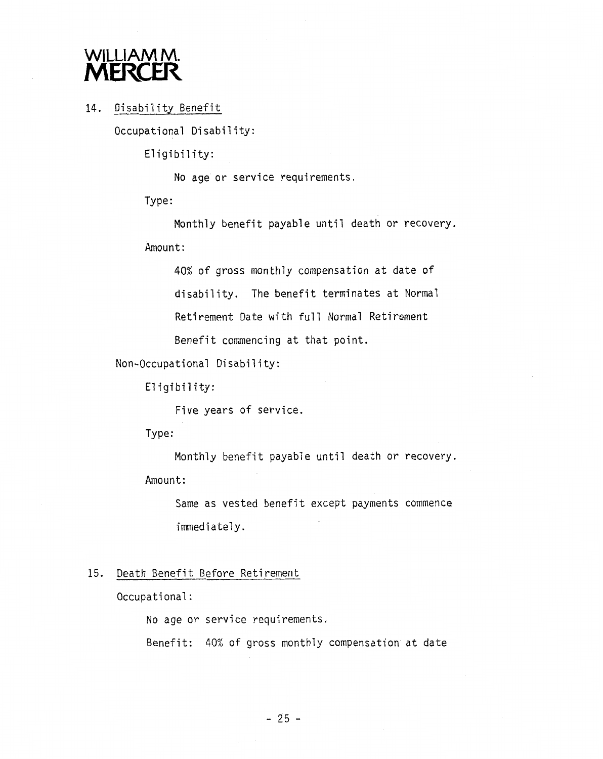# WILLIAM<sub>M</sub>. **MERCER**

### 14. Disability Benefit

Occupational Disability:

Eligibility:

No age or service requirements.

Type:

Monthly benefit payable until death or recovery.

Amount :

40% of gross monthly compensation at date of

disability. The benefit terminates at Normal

Retirement Date with full Normal Retirement

Benefit commencing at that point.

Non-Occupational Disability:

Eligibility:

Five years of service.

Type:

Monthly benefit payable until death or recovery. Amount:

Same as vested benefit except payments commence immediately.

### 15. Death Benefit Before Retirement

Occupational :

No age or service requirements.

Benefit: 40% of gross monthly compensation at date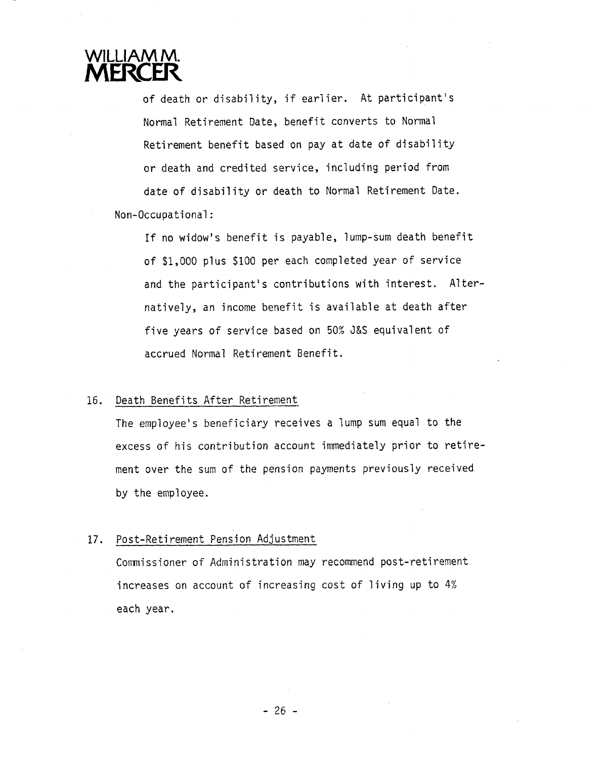# WILLIAM M **MERCER**

of death or disability, if earlier. At participant's Normal Retirement Date, benefit converts to Norma1 Retirement benefit based on pay at date of disability or death and credited service, including period from date of disability or death to Norma1 Retirement Date. Non-Occupational

If no widow 'S benef it is payable, lump-sum death benefit of \$1,000 plus \$100 per each completed year of service and the participant's contributions with interest. Alternatively, an income benefit is available at death after five years of service based on 50% **3&S** equivalent of accrued Normal Retirement Benefit.

#### 16. Death Benefits After Retirement

The employee's beneficiary receives a lump sum equal to the excess of his contribution account immediately prior to retirement over the sum of the pension payments previously received by the employee.

#### 17. Post-Retirement Pension Adjustment

Commissioner of Administration may recommend post-retirement increases on account of increasing cost of living up to 4% each year.